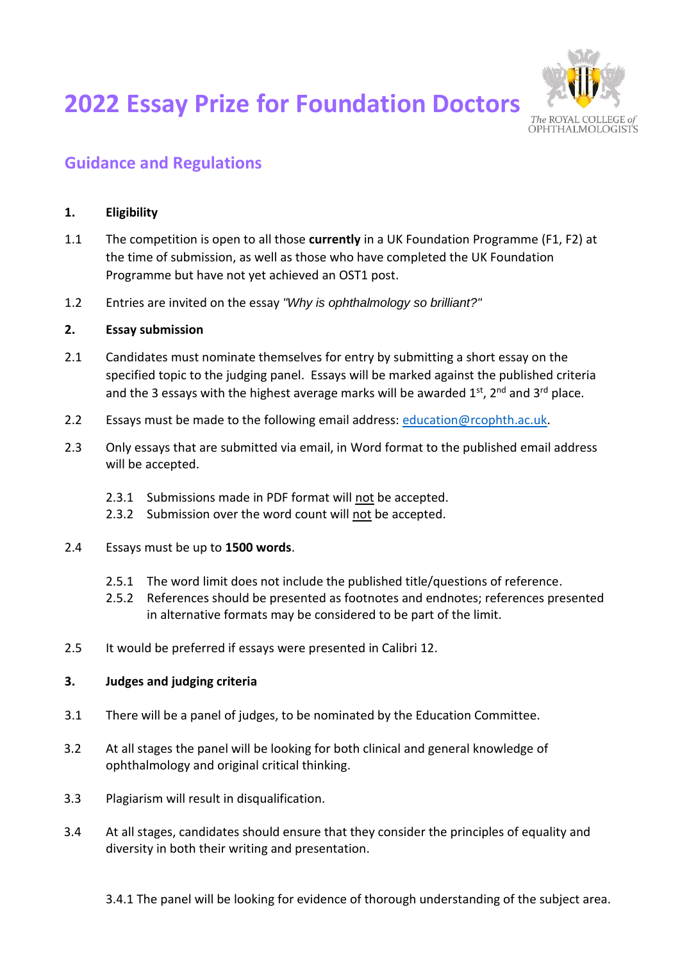# **2022 Essay Prize for Foundation Doctors**



## **Guidance and Regulations**

### **1. Eligibility**

- 1.1 The competition is open to all those **currently** in a UK Foundation Programme (F1, F2) at the time of submission, as well as those who have completed the UK Foundation Programme but have not yet achieved an OST1 post.
- 1.2 Entries are invited on the essay *"Why is ophthalmology so brilliant?"*

#### **2. Essay submission**

- 2.1 Candidates must nominate themselves for entry by submitting a short essay on the specified topic to the judging panel. Essays will be marked against the published criteria and the 3 essays with the highest average marks will be awarded  $1^{st}$ ,  $2^{nd}$  and  $3^{rd}$  place.
- 2.2 Essays must be made to the following email address: [education@rcophth.ac.uk.](mailto:education@rcophth.ac.uk)
- 2.3 Only essays that are submitted via email, in Word format to the published email address will be accepted.
	- 2.3.1 Submissions made in PDF format will not be accepted.
	- 2.3.2 Submission over the word count will not be accepted.
- 2.4 Essays must be up to **1500 words**.
	- 2.5.1 The word limit does not include the published title/questions of reference.
	- 2.5.2 References should be presented as footnotes and endnotes; references presented in alternative formats may be considered to be part of the limit.
- 2.5 It would be preferred if essays were presented in Calibri 12.

#### **3. Judges and judging criteria**

- 3.1 There will be a panel of judges, to be nominated by the Education Committee.
- 3.2 At all stages the panel will be looking for both clinical and general knowledge of ophthalmology and original critical thinking.
- 3.3 Plagiarism will result in disqualification.
- 3.4 At all stages, candidates should ensure that they consider the principles of equality and diversity in both their writing and presentation.
	- 3.4.1 The panel will be looking for evidence of thorough understanding of the subject area.